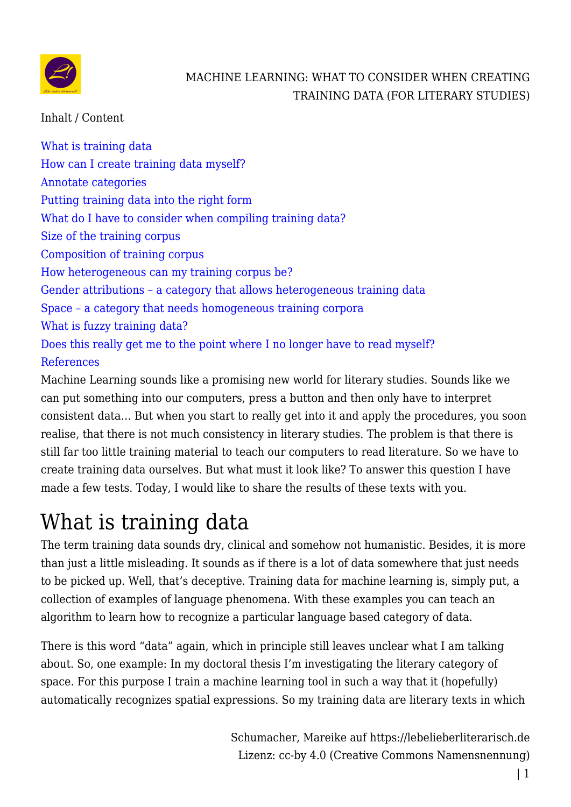

Inhalt / Content

[What is training data](#page--1-0) [How can I create training data myself?](#page--1-0) [Annotate categories](#page--1-0) [Putting training data into the right form](#page--1-0) [What do I have to consider when compiling training data?](#page--1-0) [Size of the training corpus](#page--1-0) [Composition of training corpus](#page--1-0) [How heterogeneous can my training corpus be?](#page--1-0) [Gender attributions – a category that allows heterogeneous training data](#page--1-0) [Space – a category that needs homogeneous training corpora](#page--1-0) [What is fuzzy training data?](#page--1-0) [Does this really get me to the point where I no longer have to read myself?](#page--1-0) [References](#page--1-0)

Machine Learning sounds like a promising new world for literary studies. Sounds like we can put something into our computers, press a button and then only have to interpret consistent data… But when you start to really get into it and apply the procedures, you soon realise, that there is not much consistency in literary studies. The problem is that there is still far too little training material to teach our computers to read literature. So we have to create training data ourselves. But what must it look like? To answer this question I have made a few tests. Today, I would like to share the results of these texts with you.

# What is training data

The term training data sounds dry, clinical and somehow not humanistic. Besides, it is more than just a little misleading. It sounds as if there is a lot of data somewhere that just needs to be picked up. Well, that's deceptive. Training data for machine learning is, simply put, a collection of examples of language phenomena. With these examples you can teach an algorithm to learn how to recognize a particular language based category of data.

There is this word "data" again, which in principle still leaves unclear what I am talking about. So, one example: In my doctoral thesis I'm investigating the literary category of space. For this purpose I train a machine learning tool in such a way that it (hopefully) automatically recognizes spatial expressions. So my training data are literary texts in which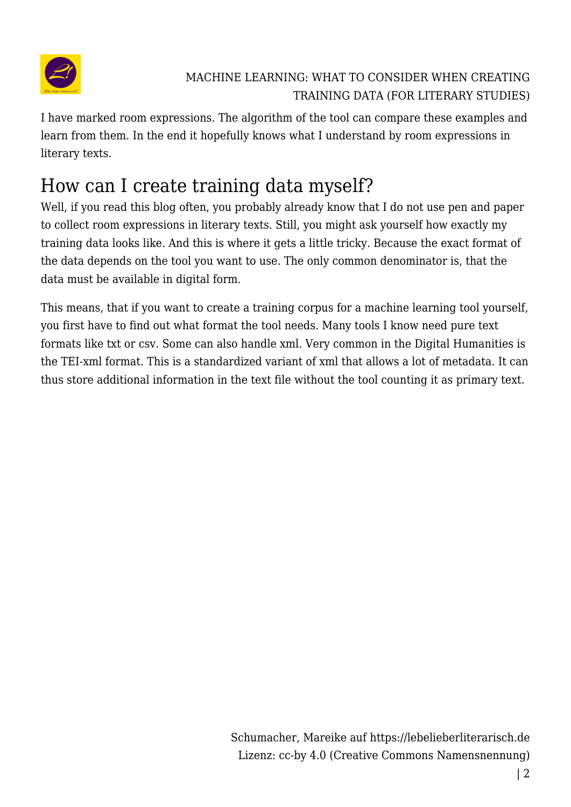

I have marked room expressions. The algorithm of the tool can compare these examples and learn from them. In the end it hopefully knows what I understand by room expressions in literary texts.

# How can I create training data myself?

Well, if you read this blog often, you probably already know that I do not use pen and paper to collect room expressions in literary texts. Still, you might ask yourself how exactly my training data looks like. And this is where it gets a little tricky. Because the exact format of the data depends on the tool you want to use. The only common denominator is, that the data must be available in digital form.

This means, that if you want to create a training corpus for a machine learning tool yourself, you first have to find out what format the tool needs. Many tools I know need pure text formats like txt or csv. Some can also handle xml. Very common in the Digital Humanities is the TEI-xml format. This is a standardized variant of xml that allows a lot of metadata. It can thus store additional information in the text file without the tool counting it as primary text.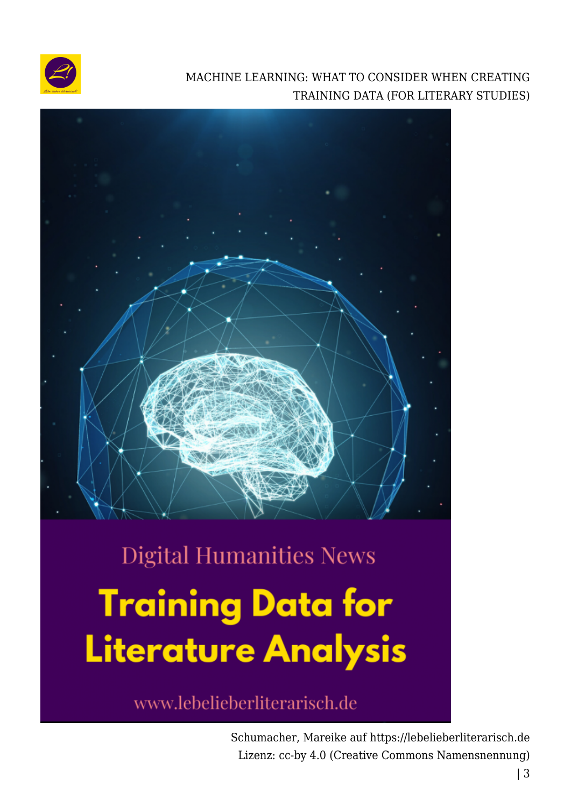



# **Digital Humanities News Training Data for Literature Analysis**

www.lebelieberliterarisch.de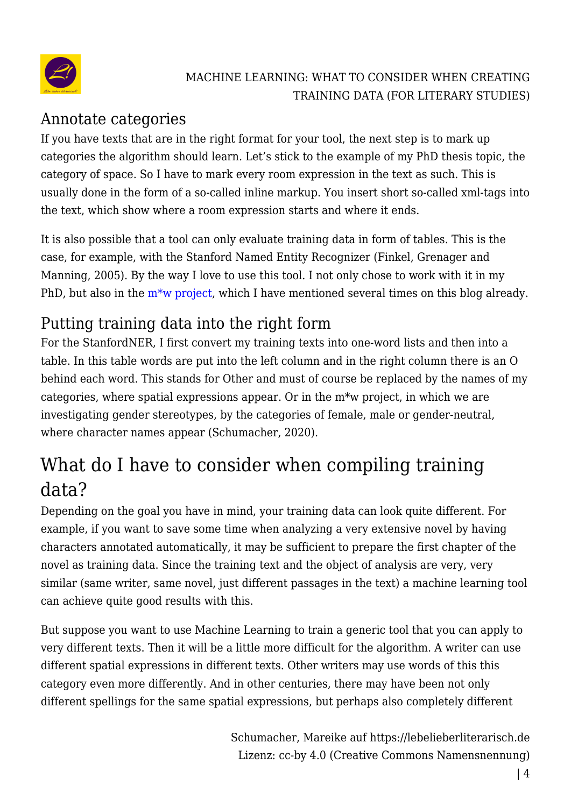

## Annotate categories

If you have texts that are in the right format for your tool, the next step is to mark up categories the algorithm should learn. Let's stick to the example of my PhD thesis topic, the category of space. So I have to mark every room expression in the text as such. This is usually done in the form of a so-called inline markup. You insert short so-called xml-tags into the text, which show where a room expression starts and where it ends.

It is also possible that a tool can only evaluate training data in form of tables. This is the case, for example, with the Stanford Named Entity Recognizer (Finkel, Grenager and Manning, 2005). By the way I love to use this tool. I not only chose to work with it in my PhD, but also in the  $m*$  project, which I have mentioned several times on this blog already.

# Putting training data into the right form

For the StanfordNER, I first convert my training texts into one-word lists and then into a table. In this table words are put into the left column and in the right column there is an O behind each word. This stands for Other and must of course be replaced by the names of my categories, where spatial expressions appear. Or in the m\*w project, in which we are investigating gender stereotypes, by the categories of female, male or gender-neutral, where character names appear (Schumacher, 2020).

# What do I have to consider when compiling training data?

Depending on the goal you have in mind, your training data can look quite different. For example, if you want to save some time when analyzing a very extensive novel by having characters annotated automatically, it may be sufficient to prepare the first chapter of the novel as training data. Since the training text and the object of analysis are very, very similar (same writer, same novel, just different passages in the text) a machine learning tool can achieve quite good results with this.

But suppose you want to use Machine Learning to train a generic tool that you can apply to very different texts. Then it will be a little more difficult for the algorithm. A writer can use different spatial expressions in different texts. Other writers may use words of this this category even more differently. And in other centuries, there may have been not only different spellings for the same spatial expressions, but perhaps also completely different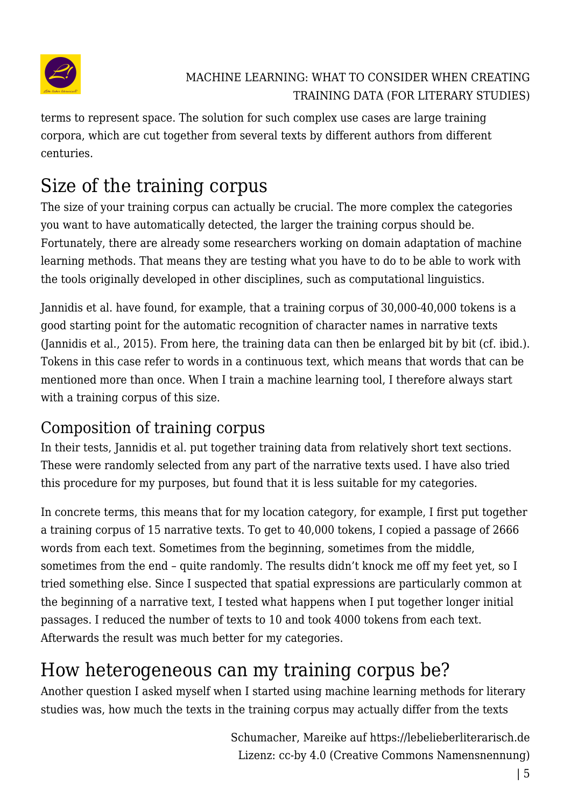

terms to represent space. The solution for such complex use cases are large training corpora, which are cut together from several texts by different authors from different centuries.

# Size of the training corpus

The size of your training corpus can actually be crucial. The more complex the categories you want to have automatically detected, the larger the training corpus should be. Fortunately, there are already some researchers working on domain adaptation of machine learning methods. That means they are testing what you have to do to be able to work with the tools originally developed in other disciplines, such as computational linguistics.

Jannidis et al. have found, for example, that a training corpus of 30,000-40,000 tokens is a good starting point for the automatic recognition of character names in narrative texts (Jannidis et al., 2015). From here, the training data can then be enlarged bit by bit (cf. ibid.). Tokens in this case refer to words in a continuous text, which means that words that can be mentioned more than once. When I train a machine learning tool, I therefore always start with a training corpus of this size.

## Composition of training corpus

In their tests, Jannidis et al. put together training data from relatively short text sections. These were randomly selected from any part of the narrative texts used. I have also tried this procedure for my purposes, but found that it is less suitable for my categories.

In concrete terms, this means that for my location category, for example, I first put together a training corpus of 15 narrative texts. To get to 40,000 tokens, I copied a passage of 2666 words from each text. Sometimes from the beginning, sometimes from the middle, sometimes from the end – quite randomly. The results didn't knock me off my feet yet, so I tried something else. Since I suspected that spatial expressions are particularly common at the beginning of a narrative text, I tested what happens when I put together longer initial passages. I reduced the number of texts to 10 and took 4000 tokens from each text. Afterwards the result was much better for my categories.

# How heterogeneous can my training corpus be?

Another question I asked myself when I started using machine learning methods for literary studies was, how much the texts in the training corpus may actually differ from the texts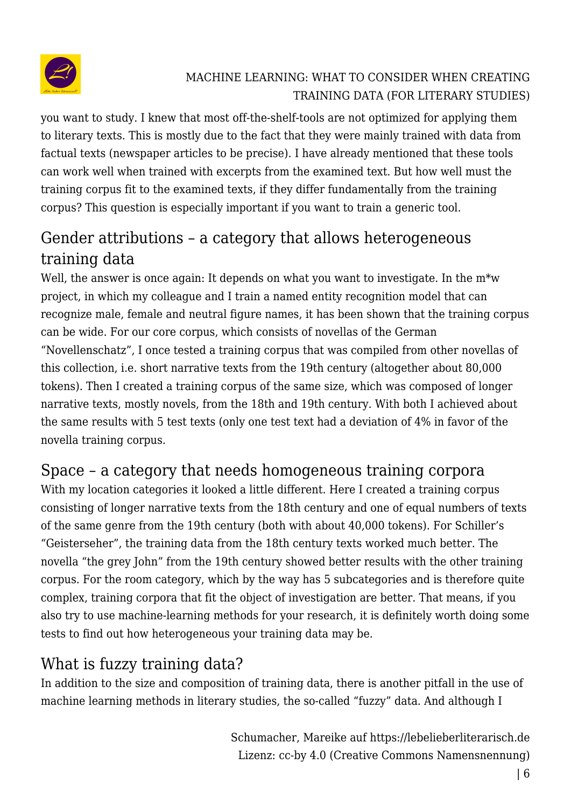

you want to study. I knew that most off-the-shelf-tools are not optimized for applying them to literary texts. This is mostly due to the fact that they were mainly trained with data from factual texts (newspaper articles to be precise). I have already mentioned that these tools can work well when trained with excerpts from the examined text. But how well must the training corpus fit to the examined texts, if they differ fundamentally from the training corpus? This question is especially important if you want to train a generic tool.

## Gender attributions – a category that allows heterogeneous training data

Well, the answer is once again: It depends on what you want to investigate. In the  $m^*w$ project, in which my colleague and I train a named entity recognition model that can recognize male, female and neutral figure names, it has been shown that the training corpus can be wide. For our core corpus, which consists of novellas of the German "Novellenschatz", I once tested a training corpus that was compiled from other novellas of this collection, i.e. short narrative texts from the 19th century (altogether about 80,000 tokens). Then I created a training corpus of the same size, which was composed of longer narrative texts, mostly novels, from the 18th and 19th century. With both I achieved about the same results with 5 test texts (only one test text had a deviation of 4% in favor of the novella training corpus.

## Space – a category that needs homogeneous training corpora

With my location categories it looked a little different. Here I created a training corpus consisting of longer narrative texts from the 18th century and one of equal numbers of texts of the same genre from the 19th century (both with about 40,000 tokens). For Schiller's "Geisterseher", the training data from the 18th century texts worked much better. The novella "the grey John" from the 19th century showed better results with the other training corpus. For the room category, which by the way has 5 subcategories and is therefore quite complex, training corpora that fit the object of investigation are better. That means, if you also try to use machine-learning methods for your research, it is definitely worth doing some tests to find out how heterogeneous your training data may be.

## What is fuzzy training data?

In addition to the size and composition of training data, there is another pitfall in the use of machine learning methods in literary studies, the so-called "fuzzy" data. And although I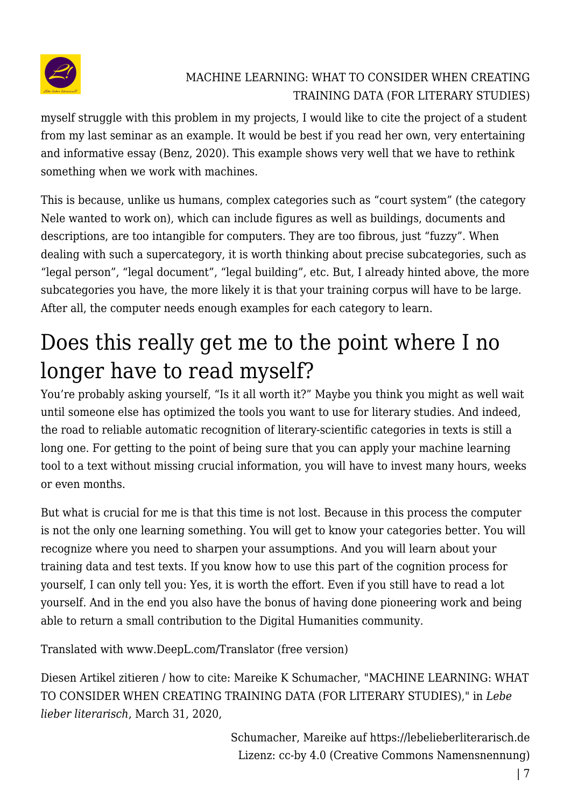

myself struggle with this problem in my projects, I would like to cite the project of a student from my last seminar as an example. It would be best if you read her own, very entertaining and informative essay (Benz, 2020). This example shows very well that we have to rethink something when we work with machines.

This is because, unlike us humans, complex categories such as "court system" (the category Nele wanted to work on), which can include figures as well as buildings, documents and descriptions, are too intangible for computers. They are too fibrous, just "fuzzy". When dealing with such a supercategory, it is worth thinking about precise subcategories, such as "legal person", "legal document", "legal building", etc. But, I already hinted above, the more subcategories you have, the more likely it is that your training corpus will have to be large. After all, the computer needs enough examples for each category to learn.

# Does this really get me to the point where I no longer have to read myself?

You're probably asking yourself, "Is it all worth it?" Maybe you think you might as well wait until someone else has optimized the tools you want to use for literary studies. And indeed, the road to reliable automatic recognition of literary-scientific categories in texts is still a long one. For getting to the point of being sure that you can apply your machine learning tool to a text without missing crucial information, you will have to invest many hours, weeks or even months.

But what is crucial for me is that this time is not lost. Because in this process the computer is not the only one learning something. You will get to know your categories better. You will recognize where you need to sharpen your assumptions. And you will learn about your training data and test texts. If you know how to use this part of the cognition process for yourself, I can only tell you: Yes, it is worth the effort. Even if you still have to read a lot yourself. And in the end you also have the bonus of having done pioneering work and being able to return a small contribution to the Digital Humanities community.

Translated with www.DeepL.com/Translator (free version)

Diesen Artikel zitieren / how to cite: Mareike K Schumacher, "MACHINE LEARNING: WHAT TO CONSIDER WHEN CREATING TRAINING DATA (FOR LITERARY STUDIES)," in *Lebe lieber literarisch*, March 31, 2020,